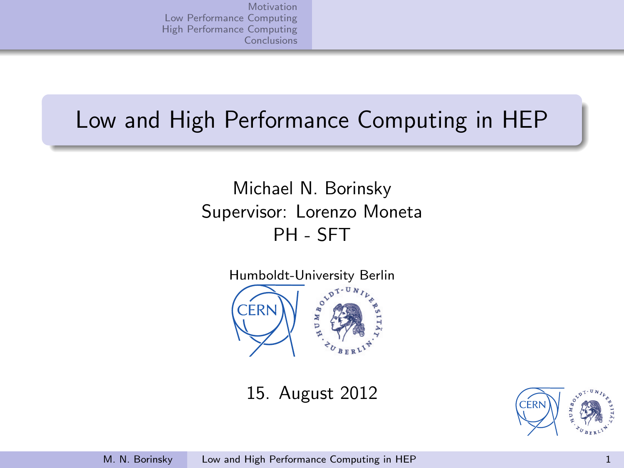# Low and High Performance Computing in HEP

Michael N. Borinsky Supervisor: Lorenzo Moneta PH - SFT



15. August 2012

<span id="page-0-0"></span>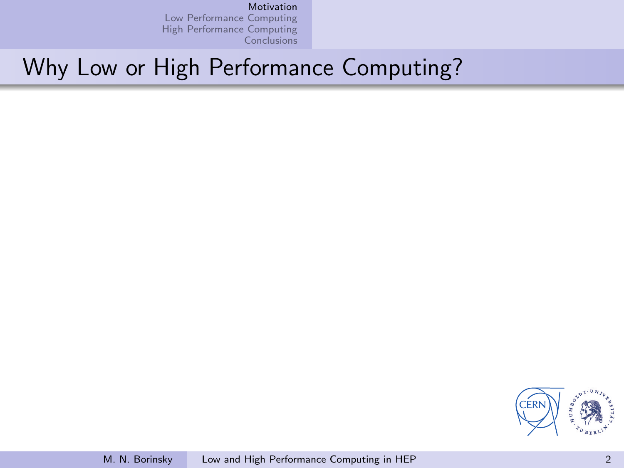### [Motivation](#page-1-0)

[Low Performance Computing](#page-2-0) [High Performance Computing](#page-3-0) **[Conclusions](#page-8-0)** 

# Why Low or High Performance Computing?

<span id="page-1-0"></span>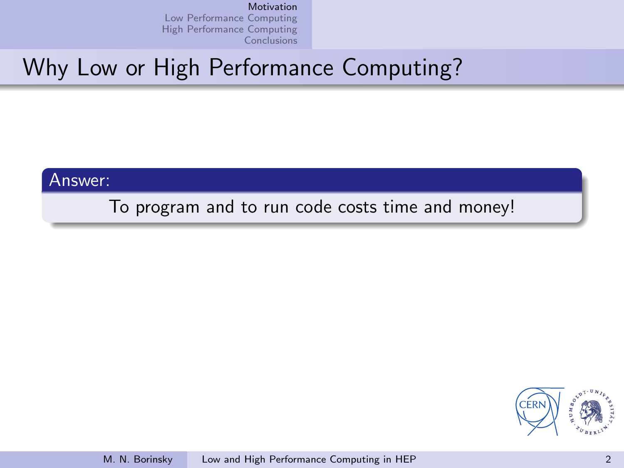# Why Low or High Performance Computing?

Answer:

To program and to run code costs time and money!

<span id="page-2-0"></span>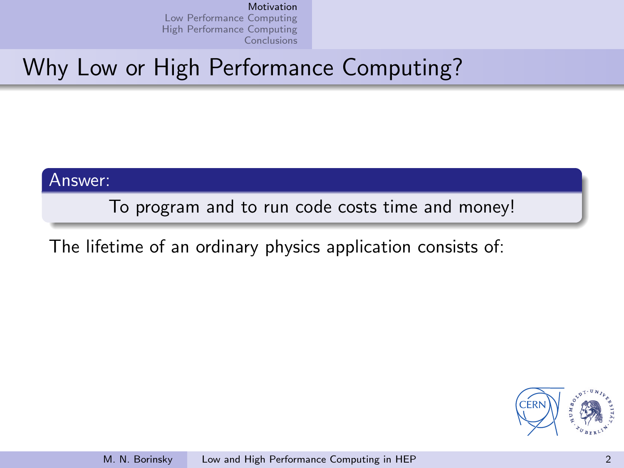# Why Low or High Performance Computing?

Answer:

To program and to run code costs time and money!

The lifetime of an ordinary physics application consists of:

<span id="page-3-0"></span>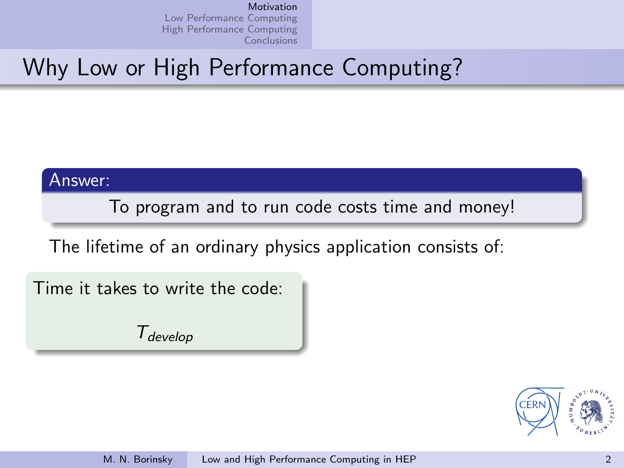# Why Low or High Performance Computing?

Answer:

To program and to run code costs time and money!

The lifetime of an ordinary physics application consists of:

Time it takes to write the code:

Tdevelop

<span id="page-4-0"></span>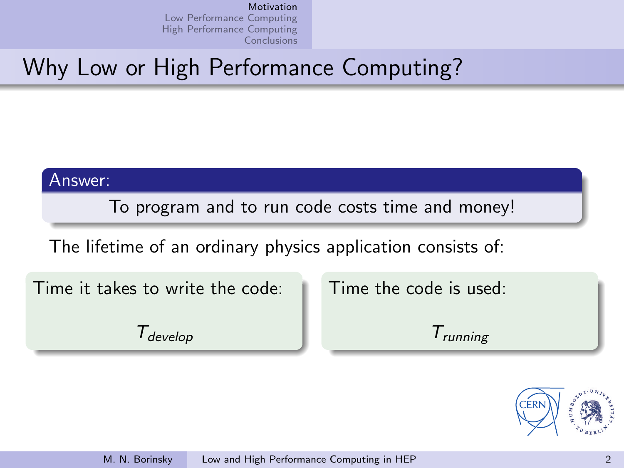# Why Low or High Performance Computing?

Answer:

To program and to run code costs time and money!

The lifetime of an ordinary physics application consists of:

Time it takes to write the code:

 $T_{\text{develop}}$ 

Time the code is used:

 $T_{\text{running}}$ 

<span id="page-5-0"></span>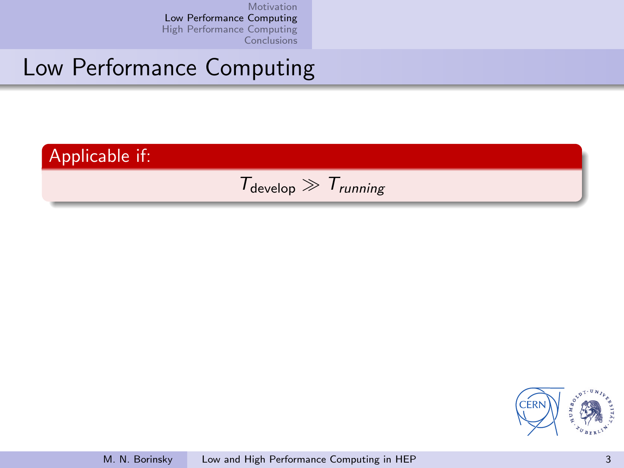

<span id="page-6-0"></span>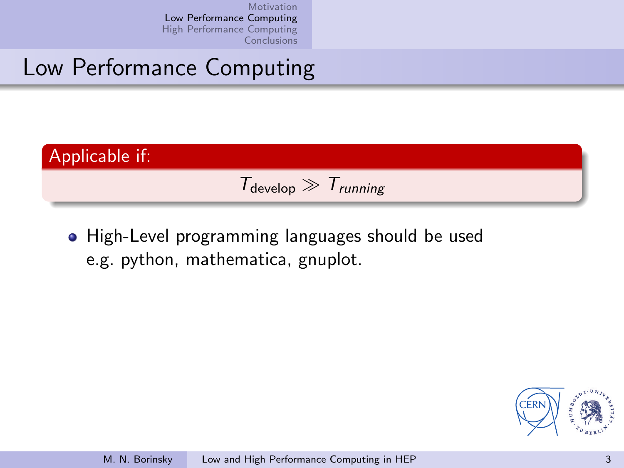# Low Performance Computing



• High-Level programming languages should be used e.g. python, mathematica, gnuplot.

<span id="page-7-0"></span>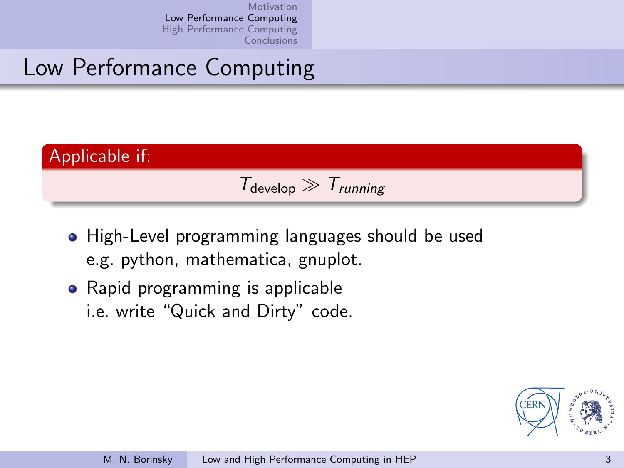

- High-Level programming languages should be used e.g. python, mathematica, gnuplot.
- Rapid programming is applicable i.e. write "Quick and Dirty" code.

<span id="page-8-0"></span>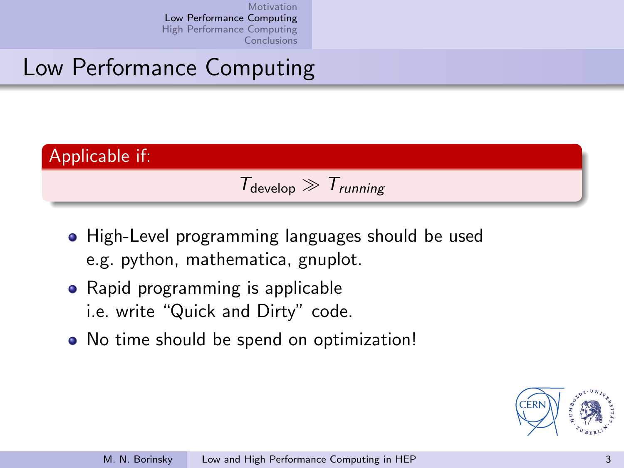

- High-Level programming languages should be used e.g. python, mathematica, gnuplot.
- Rapid programming is applicable i.e. write "Quick and Dirty" code.
- No time should be spend on optimization!

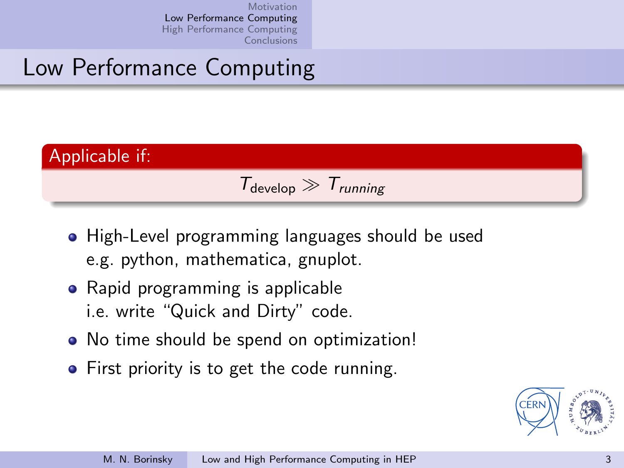

- High-Level programming languages should be used e.g. python, mathematica, gnuplot.
- Rapid programming is applicable i.e. write "Quick and Dirty" code.
- No time should be spend on optimization!
- First priority is to get the code running.

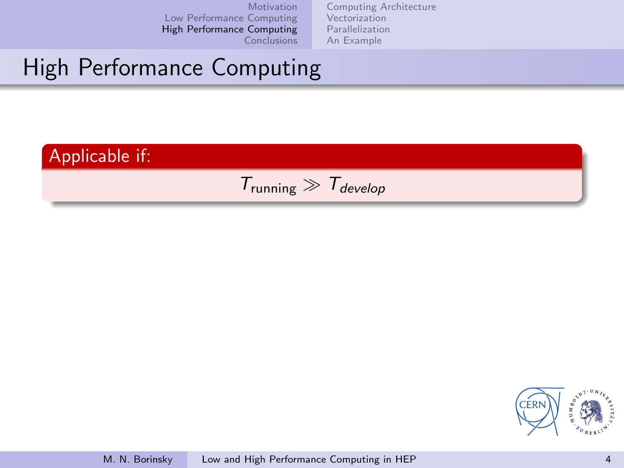[Computing Architecture](#page-4-0) [Vectorization](#page-5-0) [Parallelization](#page-6-0) [An Example](#page-7-0)



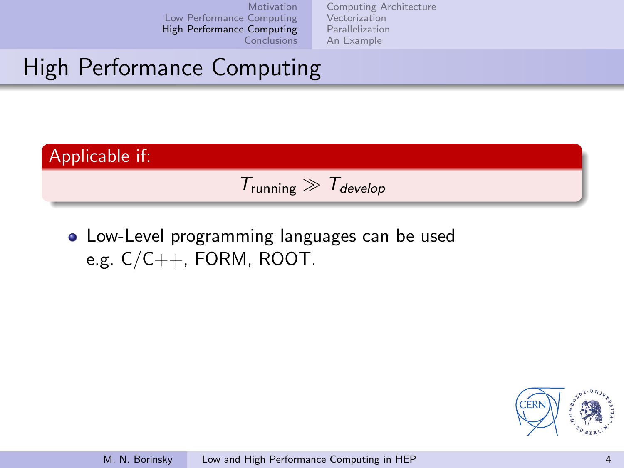[Computing Architecture](#page-4-0) [Vectorization](#page-5-0) [Parallelization](#page-6-0) [An Example](#page-7-0)

# High Performance Computing



Low-Level programming languages can be used e.g. C/C++, FORM, ROOT.

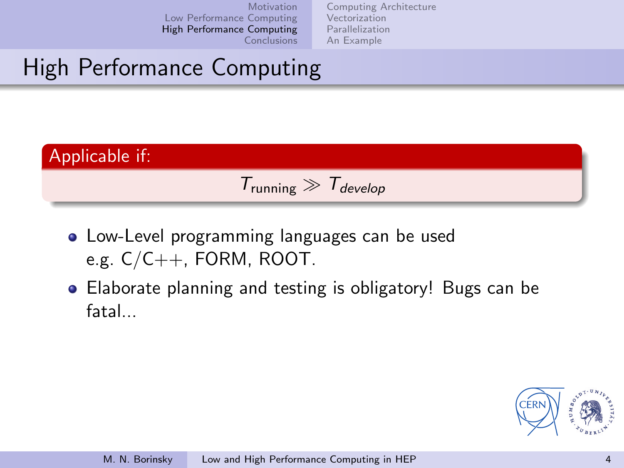[Computing Architecture](#page-4-0) [Vectorization](#page-5-0) [Parallelization](#page-6-0) [An Example](#page-7-0)



- Low-Level programming languages can be used e.g. C/C++, FORM, ROOT.
- Elaborate planning and testing is obligatory! Bugs can be fatal...

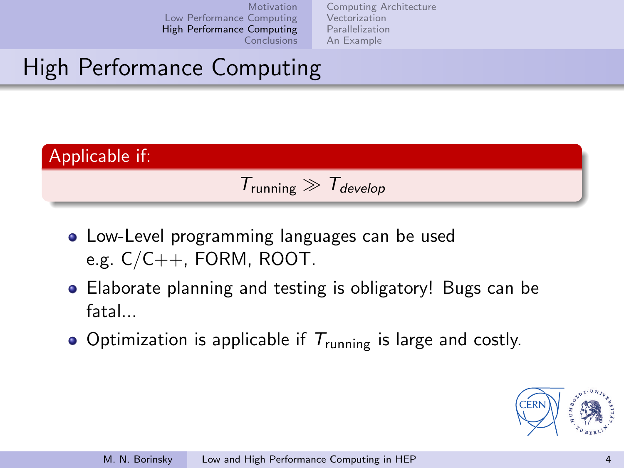[Computing Architecture](#page-4-0) [Vectorization](#page-5-0) [Parallelization](#page-6-0) [An Example](#page-7-0)



- Low-Level programming languages can be used e.g.  $C/C_{++}$ , FORM, ROOT.
- Elaborate planning and testing is obligatory! Bugs can be fatal...
- Optimization is applicable if  $T_{\text{running}}$  is large and costly.

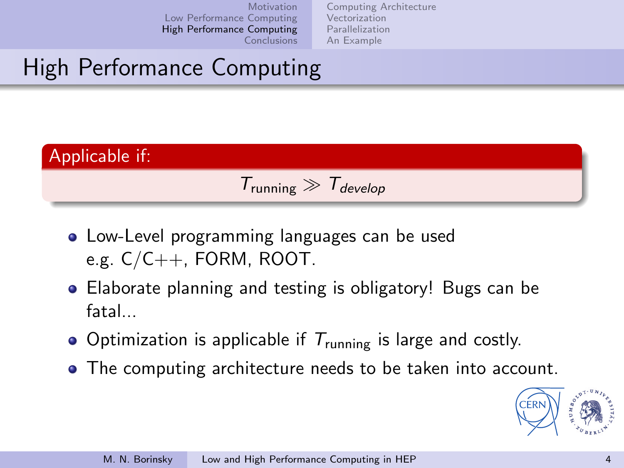[Computing Architecture](#page-4-0) [Vectorization](#page-5-0) [Parallelization](#page-6-0) [An Example](#page-7-0)



- Low-Level programming languages can be used e.g.  $C/C_{++}$ , FORM, ROOT.
- Elaborate planning and testing is obligatory! Bugs can be fatal...
- Optimization is applicable if  $T_{\text{running}}$  is large and costly.
- The computing architecture needs to be taken into account.

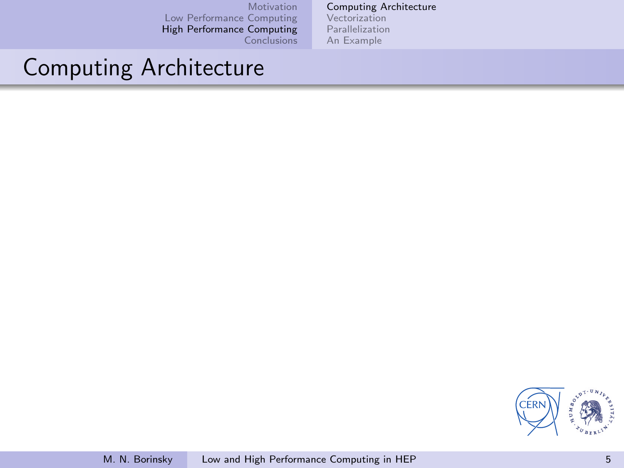#### [Computing Architecture](#page-4-0)

[Vectorization](#page-5-0) [Parallelization](#page-6-0) [An Example](#page-7-0)

## Computing Architecture

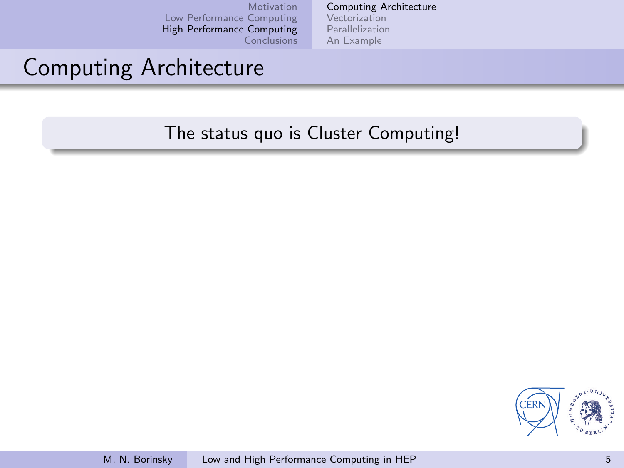[Computing Architecture](#page-4-0) [Vectorization](#page-5-0) [Parallelization](#page-6-0) [An Example](#page-7-0)

## Computing Architecture

The status quo is Cluster Computing!

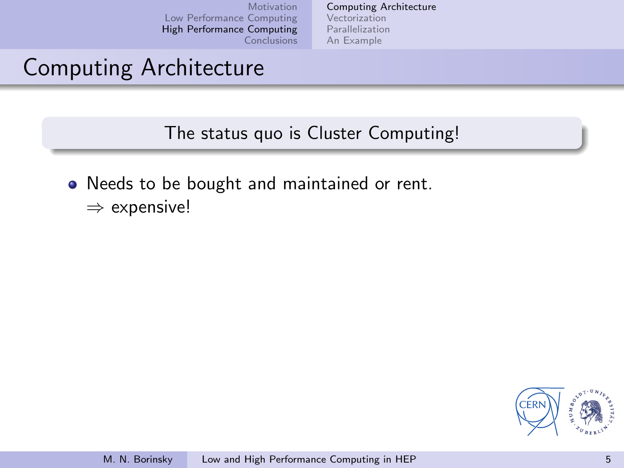[Computing Architecture](#page-4-0) [Vectorization](#page-5-0) [Parallelization](#page-6-0) [An Example](#page-7-0)

## Computing Architecture

The status quo is Cluster Computing!

- Needs to be bought and maintained or rent.
	- ⇒ expensive!

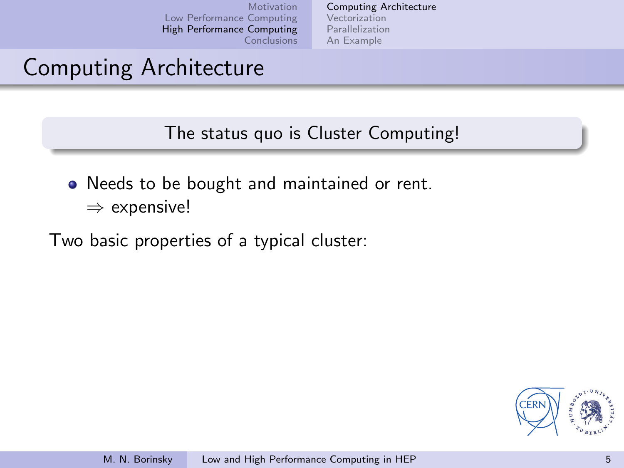[Computing Architecture](#page-4-0) [Vectorization](#page-5-0) [Parallelization](#page-6-0) [An Example](#page-7-0)

## Computing Architecture

The status quo is Cluster Computing!

- Needs to be bought and maintained or rent.
	- ⇒ expensive!

Two basic properties of a typical cluster:

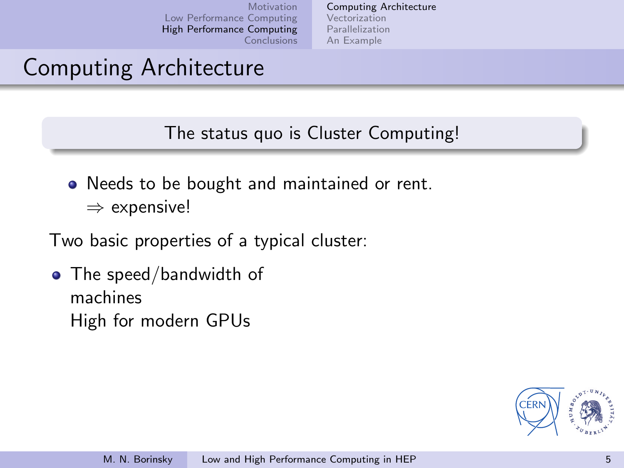[Computing Architecture](#page-4-0) [Vectorization](#page-5-0) [Parallelization](#page-6-0) [An Example](#page-7-0)

# Computing Architecture

The status quo is Cluster Computing!

- Needs to be bought and maintained or rent.
	- ⇒ expensive!

Two basic properties of a typical cluster:

• The speed/bandwidth of machines High for modern GPUs

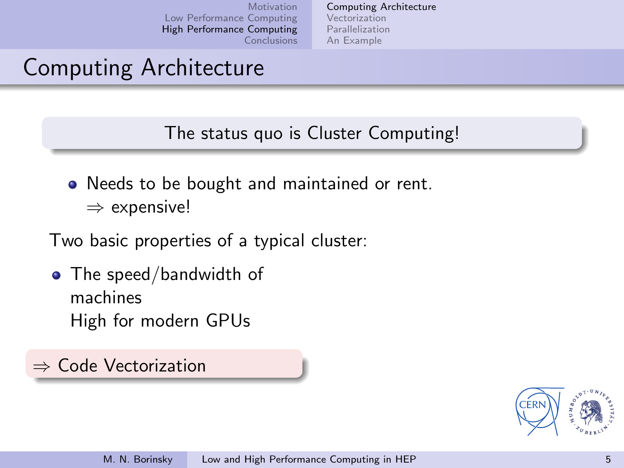[Computing Architecture](#page-4-0) [Vectorization](#page-5-0) [Parallelization](#page-6-0) [An Example](#page-7-0)

# Computing Architecture

The status quo is Cluster Computing!

- Needs to be bought and maintained or rent.
	- ⇒ expensive!

Two basic properties of a typical cluster:

• The speed/bandwidth of machines High for modern GPUs

⇒ Code Vectorization

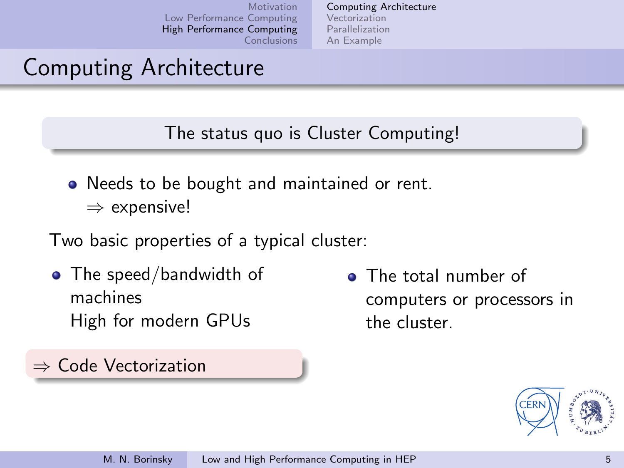[Computing Architecture](#page-4-0) [Vectorization](#page-5-0) [Parallelization](#page-6-0) [An Example](#page-7-0)

# Computing Architecture

The status quo is Cluster Computing!

• Needs to be bought and maintained or rent. ⇒ expensive!

Two basic properties of a typical cluster:

• The speed/bandwidth of machines High for modern GPUs

⇒ Code Vectorization

• The total number of computers or processors in the cluster.

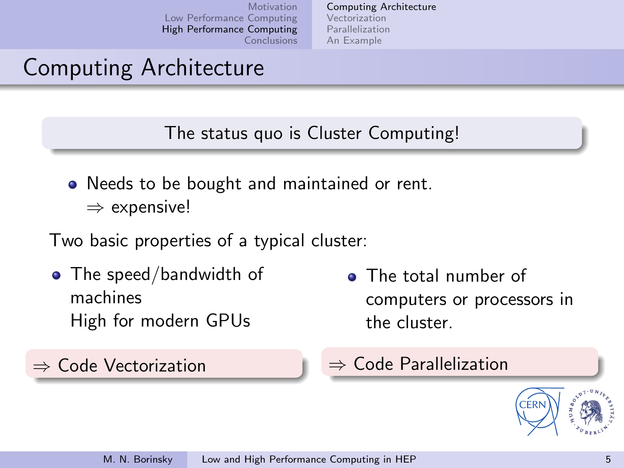[Computing Architecture](#page-4-0) [Vectorization](#page-5-0) [Parallelization](#page-6-0) [An Example](#page-7-0)

# Computing Architecture

The status quo is Cluster Computing!

• Needs to be bought and maintained or rent. ⇒ expensive!

Two basic properties of a typical cluster:

• The speed/bandwidth of machines High for modern GPUs

⇒ Code Vectorization

• The total number of computers or processors in the cluster.

⇒ Code Parallelization

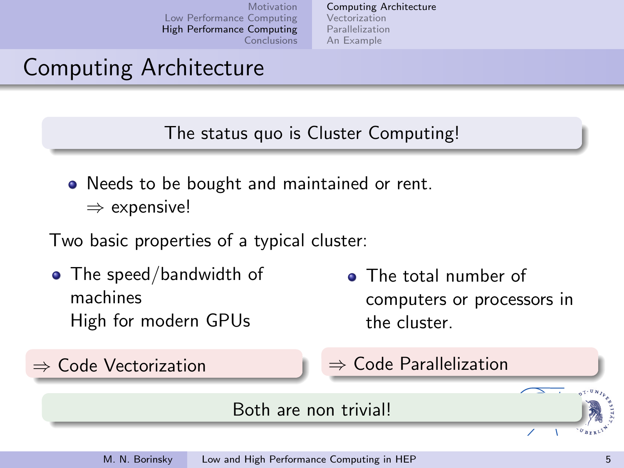[Computing Architecture](#page-4-0) [Vectorization](#page-5-0) [Parallelization](#page-6-0) [An Example](#page-7-0)

# Computing Architecture

The status quo is Cluster Computing!

• Needs to be bought and maintained or rent. ⇒ expensive!

Two basic properties of a typical cluster:

• The speed/bandwidth of machines High for modern GPUs

⇒ Code Vectorization

• The total number of computers or processors in the cluster.

⇒ Code Parallelization

### Both are non trivial!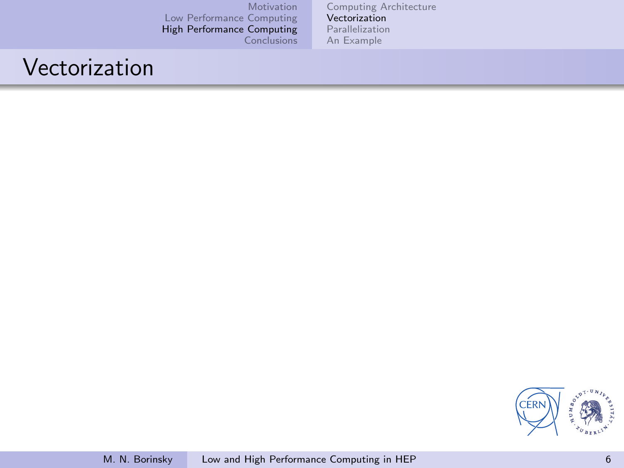[Computing Architecture](#page-4-0) [Vectorization](#page-5-0) [Parallelization](#page-6-0) [An Example](#page-7-0)

## Vectorization

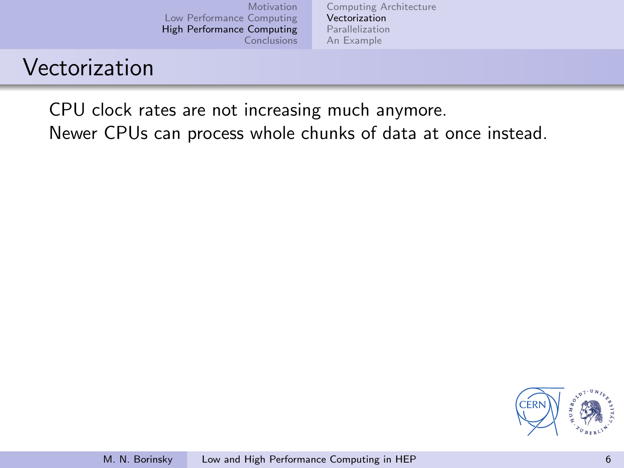[Computing Architecture](#page-4-0) [Vectorization](#page-5-0) [Parallelization](#page-6-0) [An Example](#page-7-0)

## Vectorization

CPU clock rates are not increasing much anymore.

Newer CPUs can process whole chunks of data at once instead.

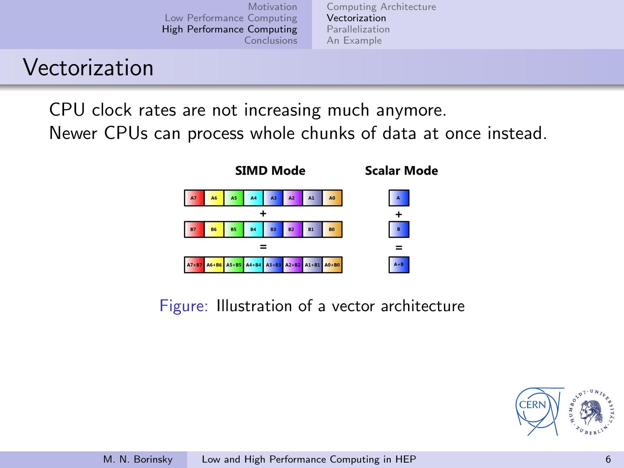[Computing Architecture](#page-4-0) [Vectorization](#page-5-0) [Parallelization](#page-6-0) [An Example](#page-7-0)

## Vectorization

CPU clock rates are not increasing much anymore.

Newer CPUs can process whole chunks of data at once instead.



Figure: Illustration of a vector architecture

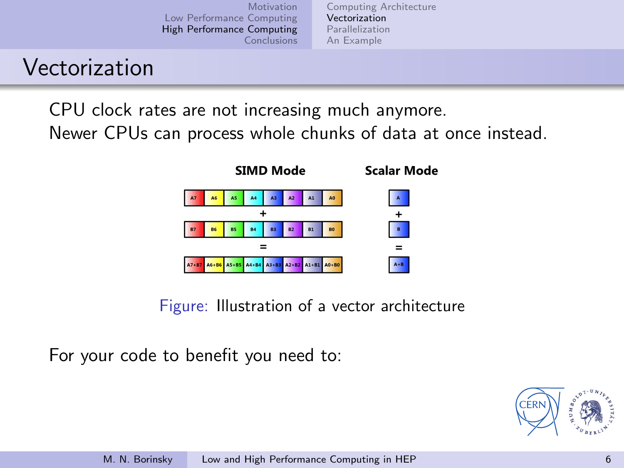[Computing Architecture](#page-4-0) [Vectorization](#page-5-0) [Parallelization](#page-6-0) [An Example](#page-7-0)

## Vectorization

CPU clock rates are not increasing much anymore.

Newer CPUs can process whole chunks of data at once instead.



Figure: Illustration of a vector architecture

For your code to benefit you need to:

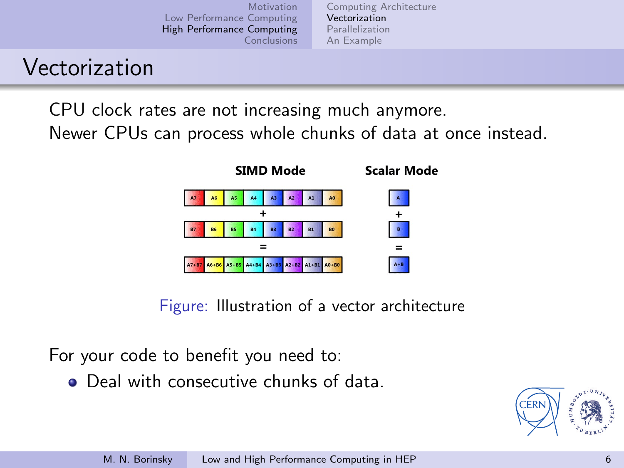[Computing Architecture](#page-4-0) [Vectorization](#page-5-0) [Parallelization](#page-6-0) [An Example](#page-7-0)

## Vectorization

CPU clock rates are not increasing much anymore.

Newer CPUs can process whole chunks of data at once instead.



Figure: Illustration of a vector architecture

For your code to benefit you need to:

**O** Deal with consecutive chunks of data

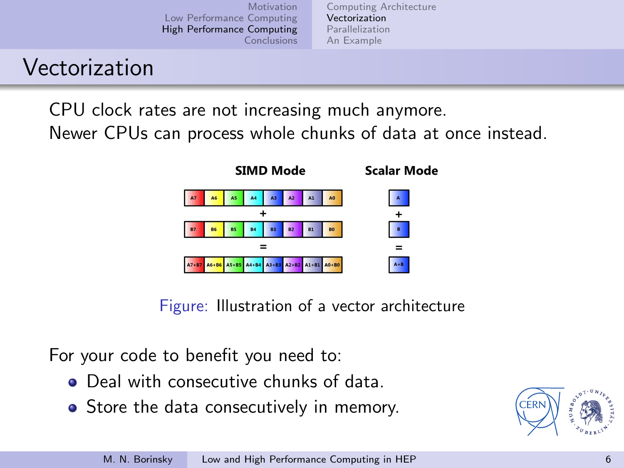[Computing Architecture](#page-4-0) [Vectorization](#page-5-0) [Parallelization](#page-6-0) [An Example](#page-7-0)

## Vectorization

CPU clock rates are not increasing much anymore.

Newer CPUs can process whole chunks of data at once instead.



Figure: Illustration of a vector architecture

For your code to benefit you need to:

- **O** Deal with consecutive chunks of data
- Store the data consecutively in memory.

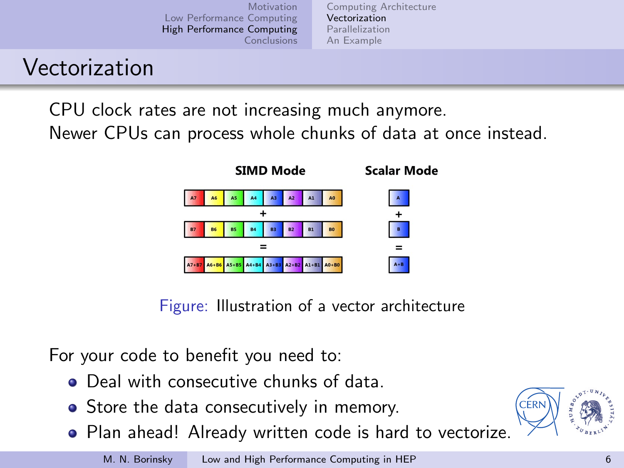[Computing Architecture](#page-4-0) [Vectorization](#page-5-0) [Parallelization](#page-6-0) [An Example](#page-7-0)

# Vectorization

CPU clock rates are not increasing much anymore.

Newer CPUs can process whole chunks of data at once instead.



Figure: Illustration of a vector architecture

For your code to benefit you need to:

- **•** Deal with consecutive chunks of data
- Store the data consecutively in memory.
- Plan ahead! Already written code is hard to vectorize.

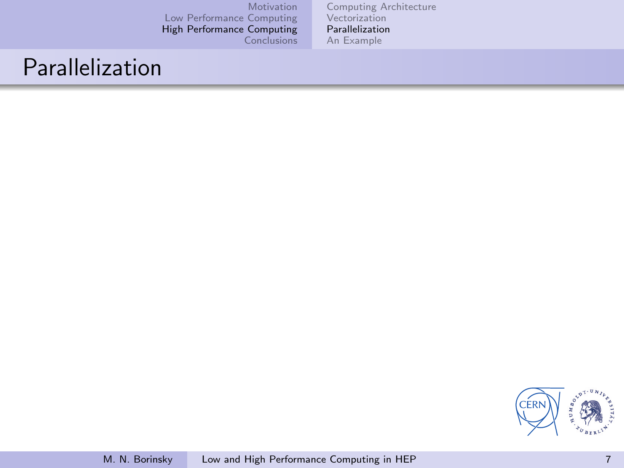[Computing Architecture](#page-4-0) [Vectorization](#page-5-0) [Parallelization](#page-6-0) [An Example](#page-7-0)

## Parallelization

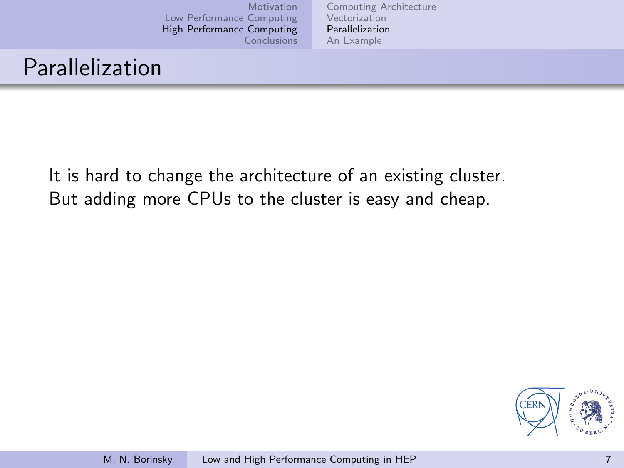[Computing Architecture](#page-4-0) [Vectorization](#page-5-0) [Parallelization](#page-6-0) [An Example](#page-7-0)

## Parallelization

It is hard to change the architecture of an existing cluster. But adding more CPUs to the cluster is easy and cheap.

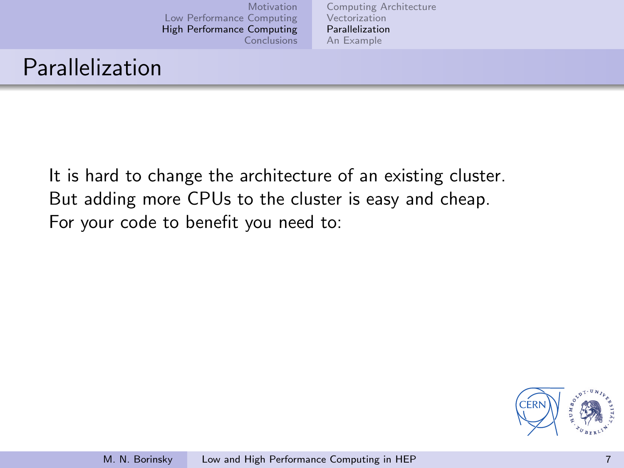[Computing Architecture](#page-4-0) [Vectorization](#page-5-0) [Parallelization](#page-6-0) [An Example](#page-7-0)

# Parallelization

It is hard to change the architecture of an existing cluster. But adding more CPUs to the cluster is easy and cheap. For your code to benefit you need to:

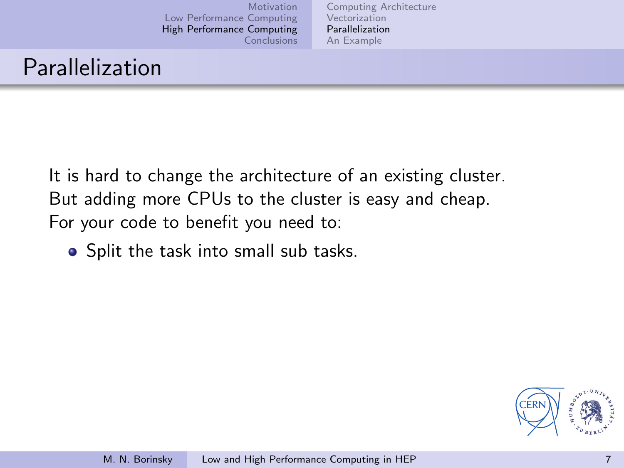[Computing Architecture](#page-4-0) [Vectorization](#page-5-0) [Parallelization](#page-6-0) [An Example](#page-7-0)

# Parallelization

It is hard to change the architecture of an existing cluster. But adding more CPUs to the cluster is easy and cheap. For your code to benefit you need to:

• Split the task into small sub tasks.

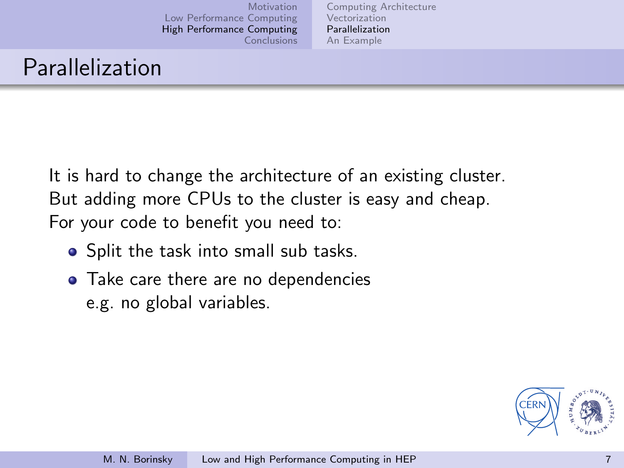[Computing Architecture](#page-4-0) [Vectorization](#page-5-0) [Parallelization](#page-6-0) [An Example](#page-7-0)

## Parallelization

It is hard to change the architecture of an existing cluster. But adding more CPUs to the cluster is easy and cheap. For your code to benefit you need to:

- Split the task into small sub tasks.
- Take care there are no dependencies e.g. no global variables.

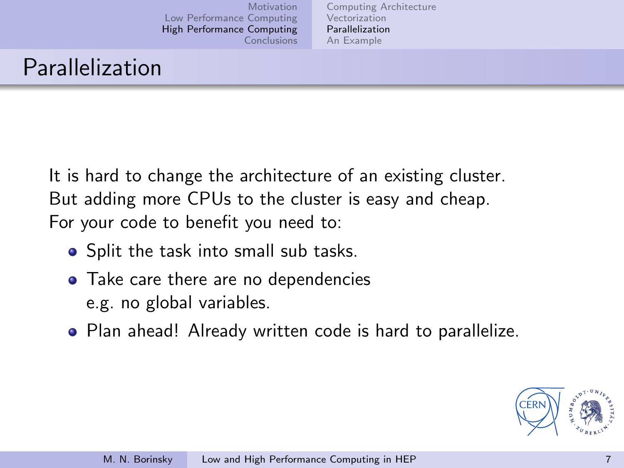[Computing Architecture](#page-4-0) [Vectorization](#page-5-0) [Parallelization](#page-6-0) [An Example](#page-7-0)

# Parallelization

It is hard to change the architecture of an existing cluster. But adding more CPUs to the cluster is easy and cheap. For your code to benefit you need to:

- Split the task into small sub tasks.
- Take care there are no dependencies e.g. no global variables.
- Plan ahead! Already written code is hard to parallelize.

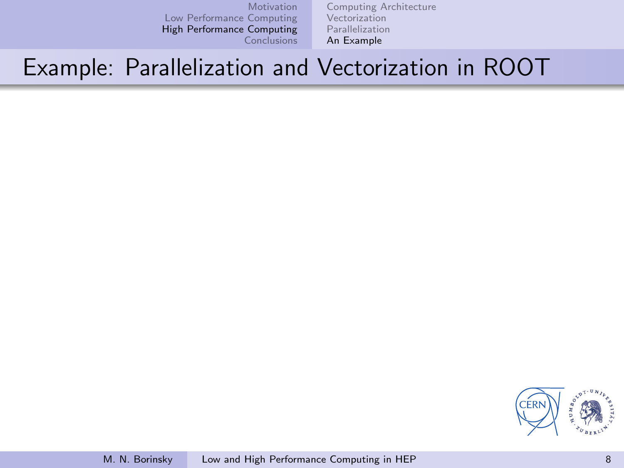[Computing Architecture](#page-4-0) [Vectorization](#page-5-0) [Parallelization](#page-6-0) [An Example](#page-7-0)

## Example: Parallelization and Vectorization in ROOT

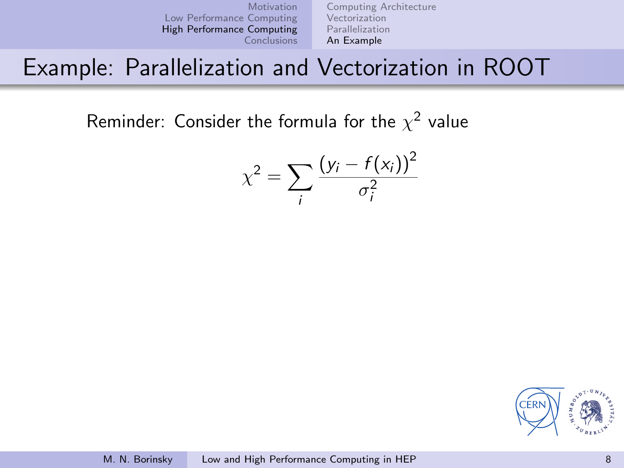[Computing Architecture](#page-4-0) [Vectorization](#page-5-0) [Parallelization](#page-6-0) [An Example](#page-7-0)

## Example: Parallelization and Vectorization in ROOT

Reminder: Consider the formula for the  $\chi^2$  value

$$
\chi^2 = \sum_i \frac{(y_i - f(x_i))^2}{\sigma_i^2}
$$

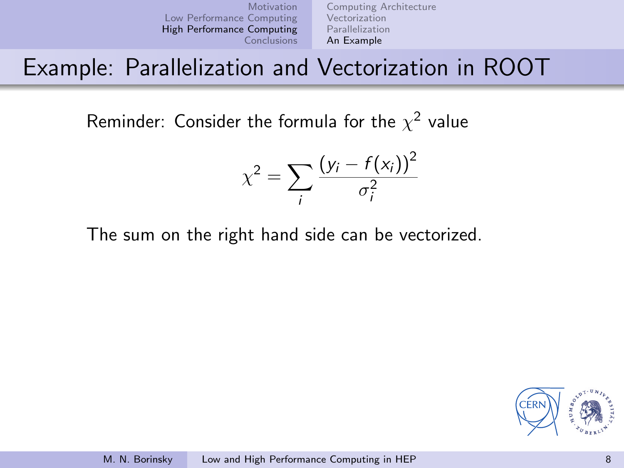[Computing Architecture](#page-4-0) [Vectorization](#page-5-0) [Parallelization](#page-6-0) [An Example](#page-7-0)

## Example: Parallelization and Vectorization in ROOT

Reminder: Consider the formula for the  $\chi^2$  value

$$
\chi^2 = \sum_i \frac{(y_i - f(x_i))^2}{\sigma_i^2}
$$

The sum on the right hand side can be vectorized.

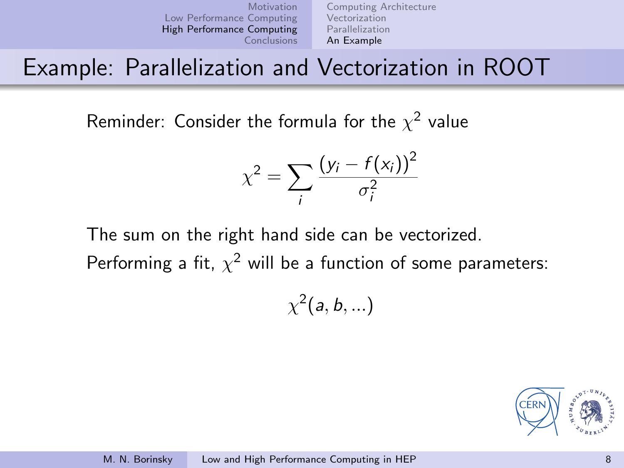[Motivation](#page-1-0) [Low Performance Computing](#page-2-0) [High Performance Computing](#page-3-0) [Conclusions](#page-8-0) [Vectorization](#page-5-0) [An Example](#page-7-0)

[Computing Architecture](#page-4-0) [Parallelization](#page-6-0)

Example: Parallelization and Vectorization in ROOT

Reminder: Consider the formula for the  $\chi^2$  value

$$
\chi^2 = \sum_i \frac{(y_i - f(x_i))^2}{\sigma_i^2}
$$

The sum on the right hand side can be vectorized.

Performing a fit,  $\chi^2$  will be a function of some parameters:

 $\chi^2(a,b,...)$ 

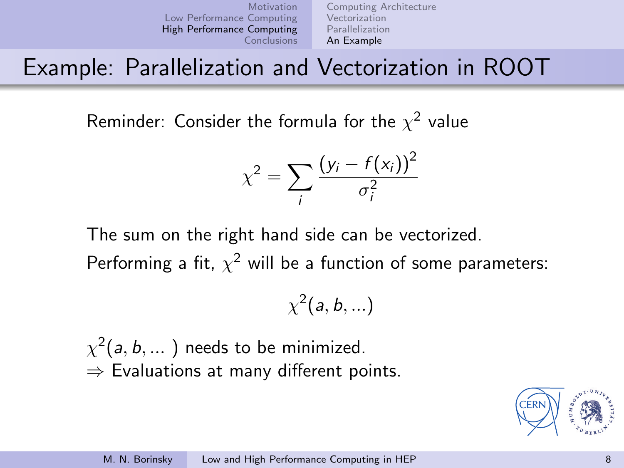[Motivation](#page-1-0) [Low Performance Computing](#page-2-0) [High Performance Computing](#page-3-0) [Conclusions](#page-8-0) [Vectorization](#page-5-0) [An Example](#page-7-0)

[Computing Architecture](#page-4-0) [Parallelization](#page-6-0)

## Example: Parallelization and Vectorization in ROOT

Reminder: Consider the formula for the  $\chi^2$  value

$$
\chi^2 = \sum_i \frac{(y_i - f(x_i))^2}{\sigma_i^2}
$$

The sum on the right hand side can be vectorized.

Performing a fit,  $\chi^2$  will be a function of some parameters:

$$
\chi^2(a,b,...)
$$

 $\chi^2(a,b,...)$  needs to be minimized.  $\Rightarrow$  Evaluations at many different points.

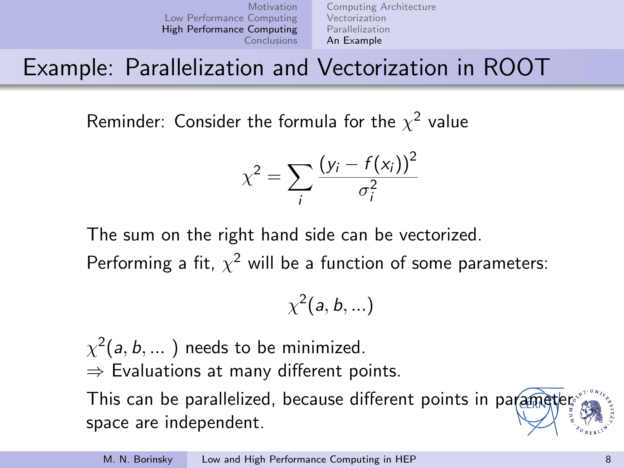[Motivation](#page-1-0) [Low Performance Computing](#page-2-0) [High Performance Computing](#page-3-0) [Conclusions](#page-8-0) [Vectorization](#page-5-0) [An Example](#page-7-0)

[Computing Architecture](#page-4-0) [Parallelization](#page-6-0)

# Example: Parallelization and Vectorization in ROOT

Reminder: Consider the formula for the  $\chi^2$  value

$$
\chi^2 = \sum_i \frac{(y_i - f(x_i))^2}{\sigma_i^2}
$$

The sum on the right hand side can be vectorized.

Performing a fit,  $\chi^2$  will be a function of some parameters:

$$
\chi^2(a,b,...)
$$

 $\chi^2(a,b,...)$  needs to be minimized.  $\Rightarrow$  Evaluations at many different points. This can be parallelized, because different points in parameter space are independent.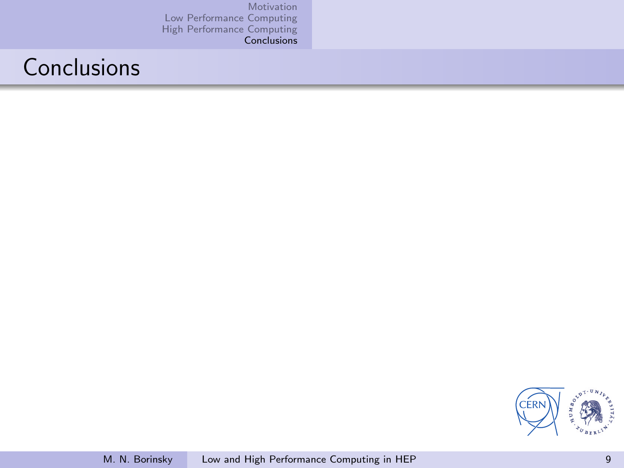# Conclusions

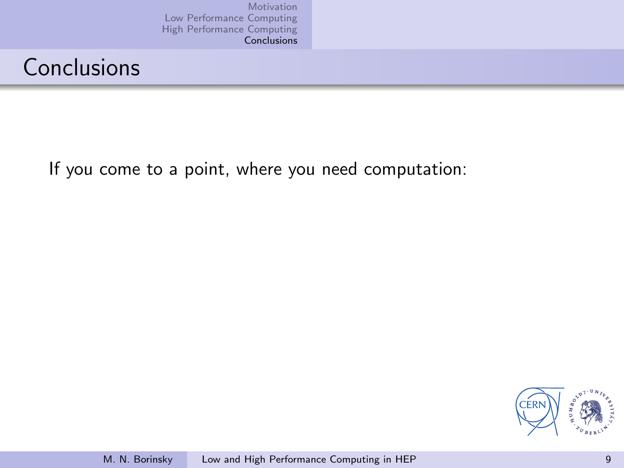# Conclusions

If you come to a point, where you need computation:

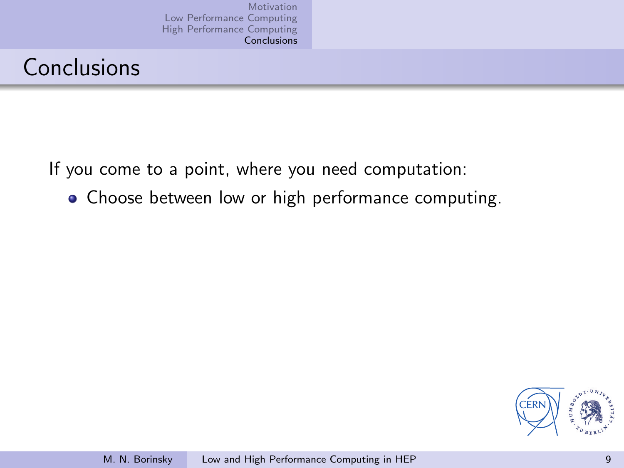# Conclusions

If you come to a point, where you need computation:

• Choose between low or high performance computing.

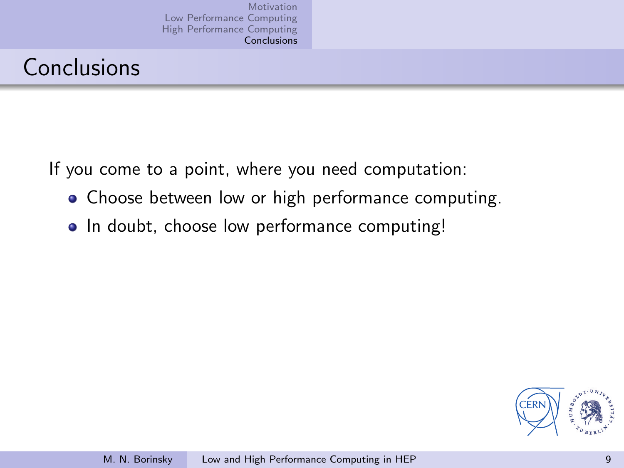# Conclusions

If you come to a point, where you need computation:

- Choose between low or high performance computing.
- In doubt, choose low performance computing!

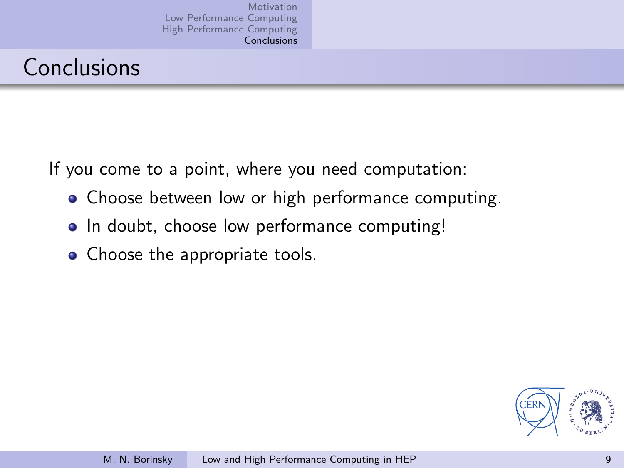# Conclusions

If you come to a point, where you need computation:

- Choose between low or high performance computing.
- In doubt, choose low performance computing!
- Choose the appropriate tools.

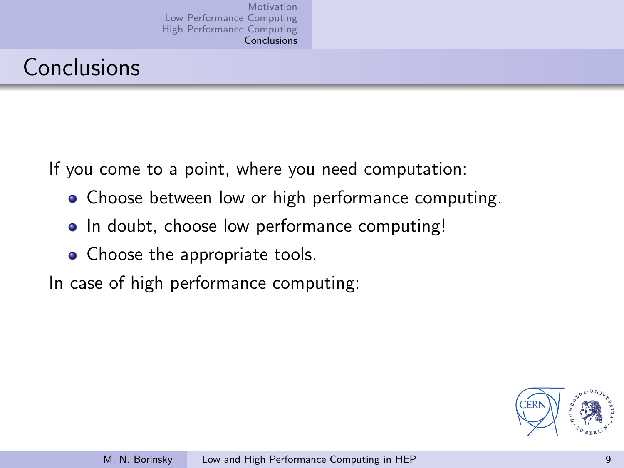# Conclusions

If you come to a point, where you need computation:

- Choose between low or high performance computing.
- In doubt, choose low performance computing!
- Choose the appropriate tools.

In case of high performance computing:

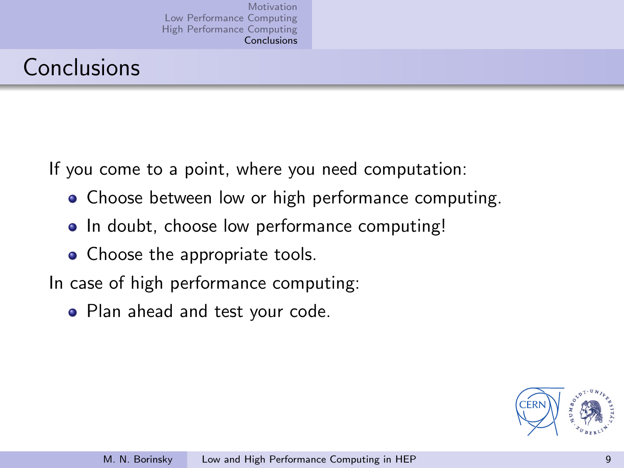# Conclusions

If you come to a point, where you need computation:

- Choose between low or high performance computing.
- In doubt, choose low performance computing!
- Choose the appropriate tools.

In case of high performance computing:

• Plan ahead and test your code.